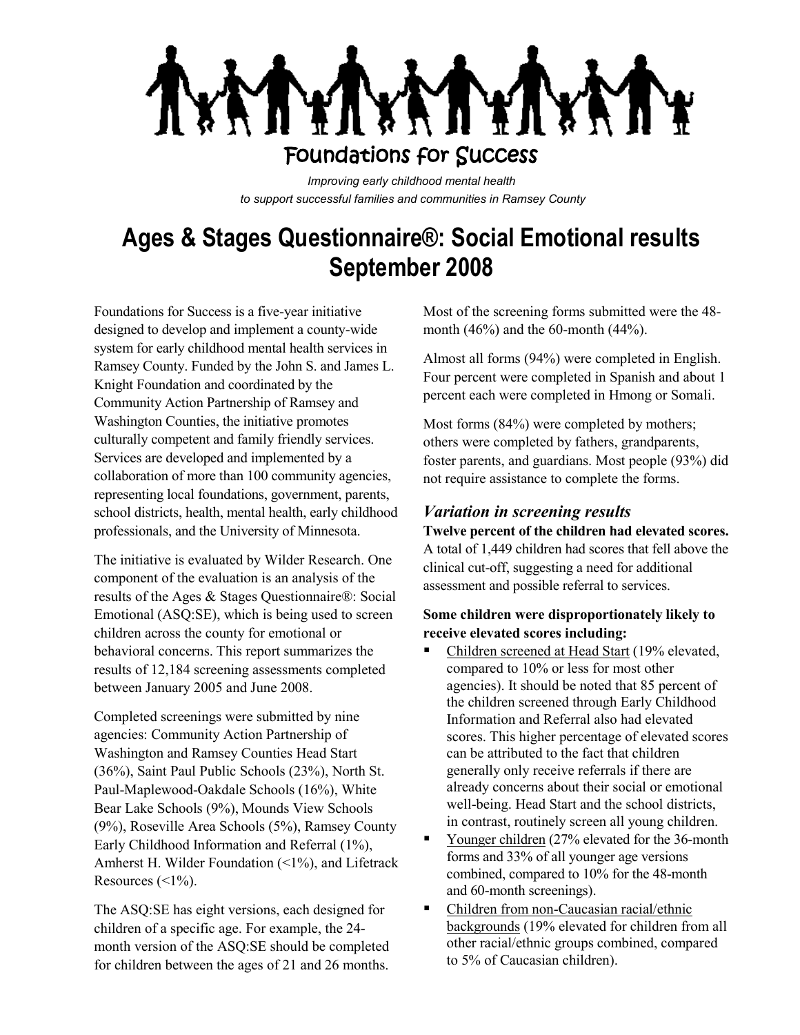

*Improving early childhood mental health to support successful families and communities in Ramsey County*

# **Ages & Stages Questionnaire®: Social Emotional results September 2008**

Foundations for Success is a five-year initiative designed to develop and implement a county-wide system for early childhood mental health services in Ramsey County. Funded by the John S. and James L. Knight Foundation and coordinated by the Community Action Partnership of Ramsey and Washington Counties, the initiative promotes culturally competent and family friendly services. Services are developed and implemented by a collaboration of more than 100 community agencies, representing local foundations, government, parents, school districts, health, mental health, early childhood professionals, and the University of Minnesota.

The initiative is evaluated by Wilder Research. One component of the evaluation is an analysis of the results of the Ages & Stages Questionnaire®: Social Emotional (ASQ:SE), which is being used to screen children across the county for emotional or behavioral concerns. This report summarizes the results of 12,184 screening assessments completed between January 2005 and June 2008.

Completed screenings were submitted by nine agencies: Community Action Partnership of Washington and Ramsey Counties Head Start (36%), Saint Paul Public Schools (23%), North St. Paul-Maplewood-Oakdale Schools (16%), White Bear Lake Schools (9%), Mounds View Schools (9%), Roseville Area Schools (5%), Ramsey County Early Childhood Information and Referral (1%), Amherst H. Wilder Foundation (<1%), and Lifetrack Resources  $(\leq 1\%)$ .

The ASQ:SE has eight versions, each designed for children of a specific age. For example, the 24 month version of the ASQ:SE should be completed for children between the ages of 21 and 26 months.

Most of the screening forms submitted were the 48 month (46%) and the 60-month (44%).

Almost all forms (94%) were completed in English. Four percent were completed in Spanish and about 1 percent each were completed in Hmong or Somali.

Most forms (84%) were completed by mothers; others were completed by fathers, grandparents, foster parents, and guardians. Most people (93%) did not require assistance to complete the forms.

## *Variation in screening results*

**Twelve percent of the children had elevated scores.**  A total of 1,449 children had scores that fell above the clinical cut-off, suggesting a need for additional assessment and possible referral to services.

#### **Some children were disproportionately likely to receive elevated scores including:**

- Children screened at Head Start (19% elevated, compared to 10% or less for most other agencies). It should be noted that 85 percent of the children screened through Early Childhood Information and Referral also had elevated scores. This higher percentage of elevated scores can be attributed to the fact that children generally only receive referrals if there are already concerns about their social or emotional well-being. Head Start and the school districts, in contrast, routinely screen all young children.
- . Younger children (27% elevated for the 36-month forms and 33% of all younger age versions combined, compared to 10% for the 48-month and 60-month screenings).
- $\blacksquare$ Children from non-Caucasian racial/ethnic backgrounds (19% elevated for children from all other racial/ethnic groups combined, compared to 5% of Caucasian children).